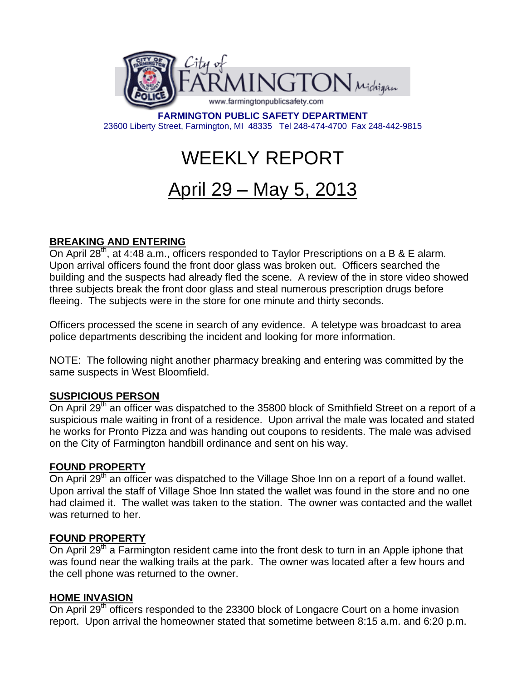

**FARMINGTON PUBLIC SAFETY DEPARTMENT**  23600 Liberty Street, Farmington, MI 48335 Tel 248-474-4700 Fax 248-442-9815

# WEEKLY REPORT

# April 29 – May 5, 2013

# **BREAKING AND ENTERING**

On April 28<sup>th</sup>, at 4:48 a.m., officers responded to Taylor Prescriptions on a B & E alarm. Upon arrival officers found the front door glass was broken out. Officers searched the building and the suspects had already fled the scene. A review of the in store video showed three subjects break the front door glass and steal numerous prescription drugs before fleeing. The subjects were in the store for one minute and thirty seconds.

Officers processed the scene in search of any evidence. A teletype was broadcast to area police departments describing the incident and looking for more information.

NOTE: The following night another pharmacy breaking and entering was committed by the same suspects in West Bloomfield.

#### **SUSPICIOUS PERSON**

On April 29<sup>th</sup> an officer was dispatched to the 35800 block of Smithfield Street on a report of a suspicious male waiting in front of a residence. Upon arrival the male was located and stated he works for Pronto Pizza and was handing out coupons to residents. The male was advised on the City of Farmington handbill ordinance and sent on his way.

#### **FOUND PROPERTY**

On April 29<sup>th</sup> an officer was dispatched to the Village Shoe Inn on a report of a found wallet. Upon arrival the staff of Village Shoe Inn stated the wallet was found in the store and no one had claimed it. The wallet was taken to the station. The owner was contacted and the wallet was returned to her.

#### **FOUND PROPERTY**

On April 29<sup>th</sup> a Farmington resident came into the front desk to turn in an Apple iphone that was found near the walking trails at the park. The owner was located after a few hours and the cell phone was returned to the owner.

#### **HOME INVASION**

On April 29<sup>th</sup> officers responded to the 23300 block of Longacre Court on a home invasion report. Upon arrival the homeowner stated that sometime between 8:15 a.m. and 6:20 p.m.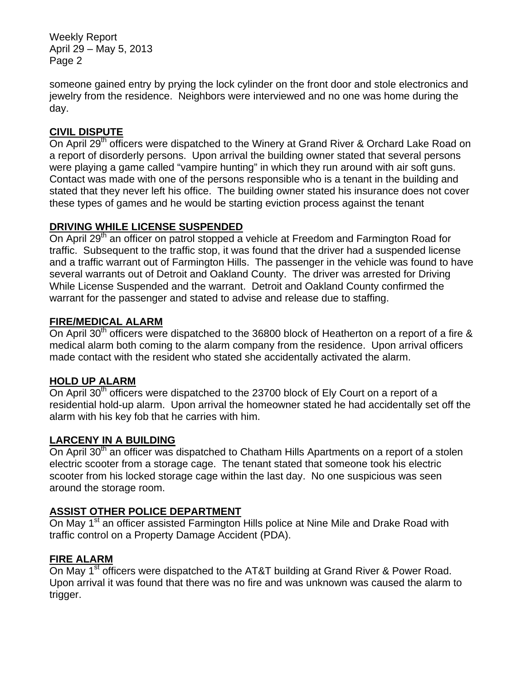Weekly Report April 29 – May 5, 2013 Page 2

someone gained entry by prying the lock cylinder on the front door and stole electronics and jewelry from the residence. Neighbors were interviewed and no one was home during the day.

# **CIVIL DISPUTE**

On April 29<sup>th</sup> officers were dispatched to the Winery at Grand River & Orchard Lake Road on a report of disorderly persons. Upon arrival the building owner stated that several persons were playing a game called "vampire hunting" in which they run around with air soft guns. Contact was made with one of the persons responsible who is a tenant in the building and stated that they never left his office. The building owner stated his insurance does not cover these types of games and he would be starting eviction process against the tenant

### **DRIVING WHILE LICENSE SUSPENDED**

On April 29<sup>th</sup> an officer on patrol stopped a vehicle at Freedom and Farmington Road for traffic. Subsequent to the traffic stop, it was found that the driver had a suspended license and a traffic warrant out of Farmington Hills. The passenger in the vehicle was found to have several warrants out of Detroit and Oakland County. The driver was arrested for Driving While License Suspended and the warrant. Detroit and Oakland County confirmed the warrant for the passenger and stated to advise and release due to staffing.

#### **FIRE/MEDICAL ALARM**

On April 30<sup>th</sup> officers were dispatched to the 36800 block of Heatherton on a report of a fire & medical alarm both coming to the alarm company from the residence. Upon arrival officers made contact with the resident who stated she accidentally activated the alarm.

#### **HOLD UP ALARM**

On April 30<sup>th</sup> officers were dispatched to the 23700 block of Ely Court on a report of a residential hold-up alarm. Upon arrival the homeowner stated he had accidentally set off the alarm with his key fob that he carries with him.

#### **LARCENY IN A BUILDING**

On April 30<sup>th</sup> an officer was dispatched to Chatham Hills Apartments on a report of a stolen electric scooter from a storage cage. The tenant stated that someone took his electric scooter from his locked storage cage within the last day. No one suspicious was seen around the storage room.

#### **ASSIST OTHER POLICE DEPARTMENT**

On May 1<sup>st</sup> an officer assisted Farmington Hills police at Nine Mile and Drake Road with traffic control on a Property Damage Accident (PDA).

# **FIRE ALARM**

On May 1<sup>st</sup> officers were dispatched to the AT&T building at Grand River & Power Road. Upon arrival it was found that there was no fire and was unknown was caused the alarm to trigger.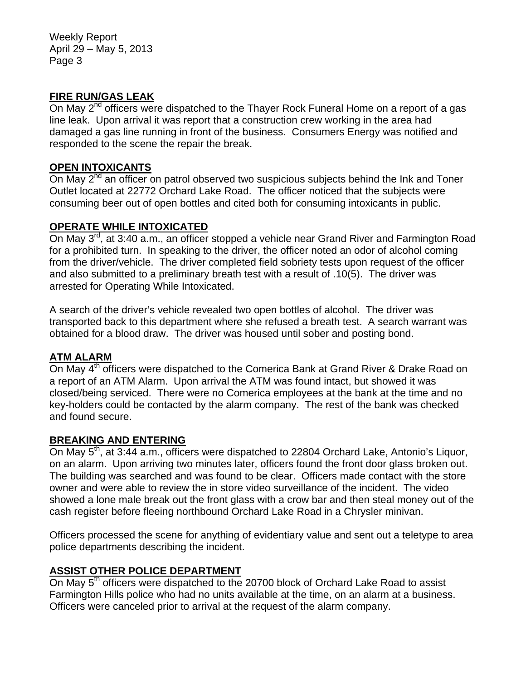Weekly Report April 29 – May 5, 2013 Page 3

#### **FIRE RUN/GAS LEAK**

On May 2<sup>nd</sup> officers were dispatched to the Thayer Rock Funeral Home on a report of a gas line leak. Upon arrival it was report that a construction crew working in the area had damaged a gas line running in front of the business. Consumers Energy was notified and responded to the scene the repair the break.

#### **OPEN INTOXICANTS**

On May  $2^{nd}$  an officer on patrol observed two suspicious subjects behind the Ink and Toner Outlet located at 22772 Orchard Lake Road. The officer noticed that the subjects were consuming beer out of open bottles and cited both for consuming intoxicants in public.

### **OPERATE WHILE INTOXICATED**

On May 3<sup>rd</sup>, at 3:40 a.m., an officer stopped a vehicle near Grand River and Farmington Road for a prohibited turn. In speaking to the driver, the officer noted an odor of alcohol coming from the driver/vehicle. The driver completed field sobriety tests upon request of the officer and also submitted to a preliminary breath test with a result of .10(5). The driver was arrested for Operating While Intoxicated.

A search of the driver's vehicle revealed two open bottles of alcohol. The driver was transported back to this department where she refused a breath test. A search warrant was obtained for a blood draw. The driver was housed until sober and posting bond.

#### **ATM ALARM**

On May 4<sup>th</sup> officers were dispatched to the Comerica Bank at Grand River & Drake Road on a report of an ATM Alarm. Upon arrival the ATM was found intact, but showed it was closed/being serviced. There were no Comerica employees at the bank at the time and no key-holders could be contacted by the alarm company. The rest of the bank was checked and found secure.

#### **BREAKING AND ENTERING**

On May 5<sup>th</sup>, at 3:44 a.m., officers were dispatched to 22804 Orchard Lake, Antonio's Liquor, on an alarm. Upon arriving two minutes later, officers found the front door glass broken out. The building was searched and was found to be clear. Officers made contact with the store owner and were able to review the in store video surveillance of the incident. The video showed a lone male break out the front glass with a crow bar and then steal money out of the cash register before fleeing northbound Orchard Lake Road in a Chrysler minivan.

Officers processed the scene for anything of evidentiary value and sent out a teletype to area police departments describing the incident.

# **ASSIST OTHER POLICE DEPARTMENT**

On May 5<sup>th</sup> officers were dispatched to the 20700 block of Orchard Lake Road to assist Farmington Hills police who had no units available at the time, on an alarm at a business. Officers were canceled prior to arrival at the request of the alarm company.